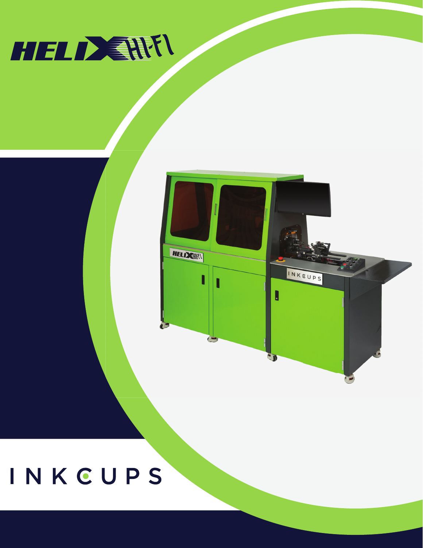## INKCUPS